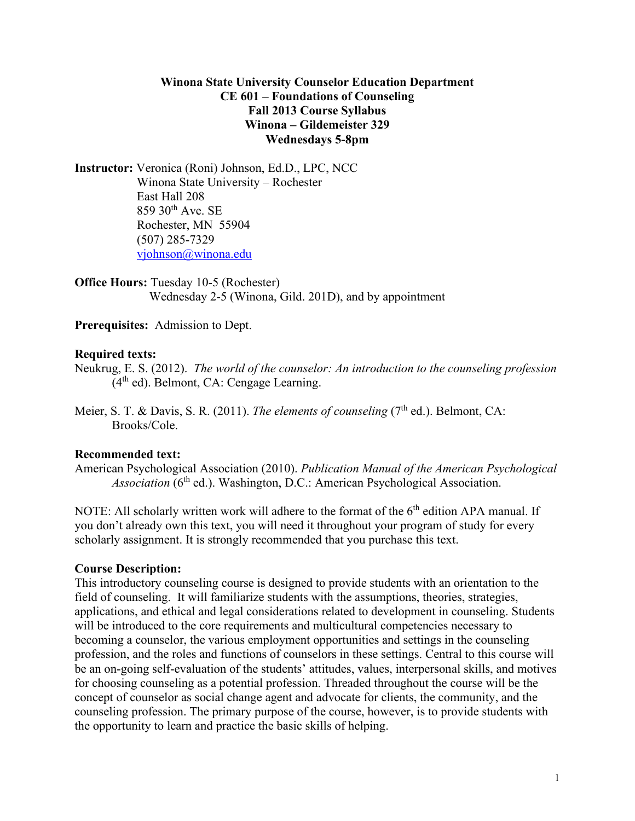#### **Winona State University Counselor Education Department CE 601 – Foundations of Counseling Fall 2013 Course Syllabus Winona – Gildemeister 329 Wednesdays 5-8pm**

**Instructor:** Veronica (Roni) Johnson, Ed.D., LPC, NCC Winona State University – Rochester East Hall 208  $859$  30<sup>th</sup> Ave. SE Rochester, MN 55904 (507) 285-7329 [vjohnson@winona.edu](mailto:vjohnson@winona.edu)

**Office Hours:** Tuesday 10-5 (Rochester) Wednesday 2-5 (Winona, Gild. 201D), and by appointment

**Prerequisites:** Admission to Dept.

#### **Required texts:**

Neukrug, E. S. (2012). *The world of the counselor: An introduction to the counseling profession*  $(4<sup>th</sup>$  ed). Belmont, CA: Cengage Learning.

Meier, S. T. & Davis, S. R. (2011). *The elements of counseling* (7<sup>th</sup> ed.). Belmont, CA: Brooks/Cole.

#### **Recommended text:**

American Psychological Association (2010). *Publication Manual of the American Psychological Association* (6<sup>th</sup> ed.). Washington, D.C.: American Psychological Association.

NOTE: All scholarly written work will adhere to the format of the 6<sup>th</sup> edition APA manual. If you don't already own this text, you will need it throughout your program of study for every scholarly assignment. It is strongly recommended that you purchase this text.

#### **Course Description:**

This introductory counseling course is designed to provide students with an orientation to the field of counseling. It will familiarize students with the assumptions, theories, strategies, applications, and ethical and legal considerations related to development in counseling. Students will be introduced to the core requirements and multicultural competencies necessary to becoming a counselor, the various employment opportunities and settings in the counseling profession, and the roles and functions of counselors in these settings. Central to this course will be an on-going self-evaluation of the students' attitudes, values, interpersonal skills, and motives for choosing counseling as a potential profession. Threaded throughout the course will be the concept of counselor as social change agent and advocate for clients, the community, and the counseling profession. The primary purpose of the course, however, is to provide students with the opportunity to learn and practice the basic skills of helping.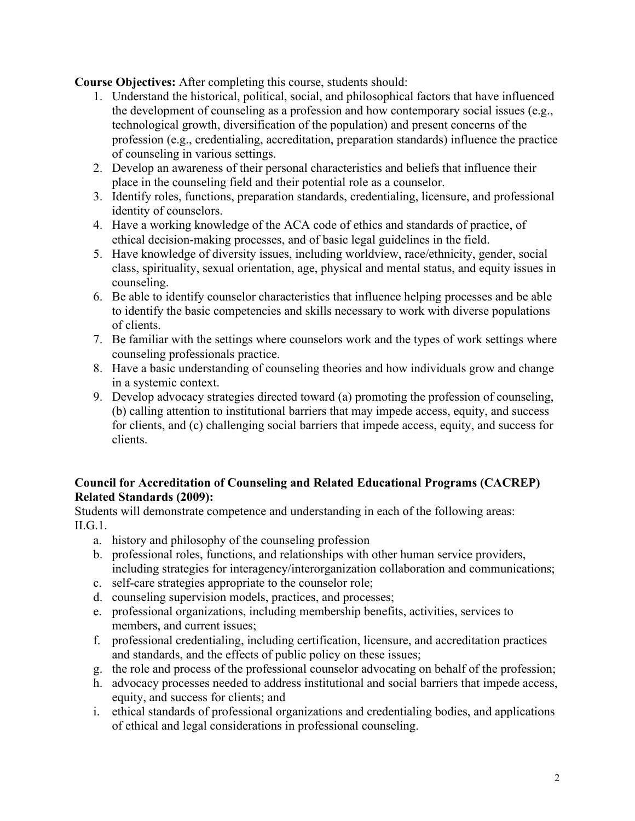**Course Objectives:** After completing this course, students should:

- 1. Understand the historical, political, social, and philosophical factors that have influenced the development of counseling as a profession and how contemporary social issues (e.g., technological growth, diversification of the population) and present concerns of the profession (e.g., credentialing, accreditation, preparation standards) influence the practice of counseling in various settings.
- 2. Develop an awareness of their personal characteristics and beliefs that influence their place in the counseling field and their potential role as a counselor.
- 3. Identify roles, functions, preparation standards, credentialing, licensure, and professional identity of counselors.
- 4. Have a working knowledge of the ACA code of ethics and standards of practice, of ethical decision-making processes, and of basic legal guidelines in the field.
- 5. Have knowledge of diversity issues, including worldview, race/ethnicity, gender, social class, spirituality, sexual orientation, age, physical and mental status, and equity issues in counseling.
- 6. Be able to identify counselor characteristics that influence helping processes and be able to identify the basic competencies and skills necessary to work with diverse populations of clients.
- 7. Be familiar with the settings where counselors work and the types of work settings where counseling professionals practice.
- 8. Have a basic understanding of counseling theories and how individuals grow and change in a systemic context.
- 9. Develop advocacy strategies directed toward (a) promoting the profession of counseling, (b) calling attention to institutional barriers that may impede access, equity, and success for clients, and (c) challenging social barriers that impede access, equity, and success for clients.

## **Council for Accreditation of Counseling and Related Educational Programs (CACREP) Related Standards (2009):**

Students will demonstrate competence and understanding in each of the following areas: II.G.1.

- a. history and philosophy of the counseling profession
- b. professional roles, functions, and relationships with other human service providers, including strategies for interagency/interorganization collaboration and communications;
- c. self-care strategies appropriate to the counselor role;
- d. counseling supervision models, practices, and processes;
- e. professional organizations, including membership benefits, activities, services to members, and current issues;
- f. professional credentialing, including certification, licensure, and accreditation practices and standards, and the effects of public policy on these issues;
- g. the role and process of the professional counselor advocating on behalf of the profession;
- h. advocacy processes needed to address institutional and social barriers that impede access, equity, and success for clients; and
- i. ethical standards of professional organizations and credentialing bodies, and applications of ethical and legal considerations in professional counseling.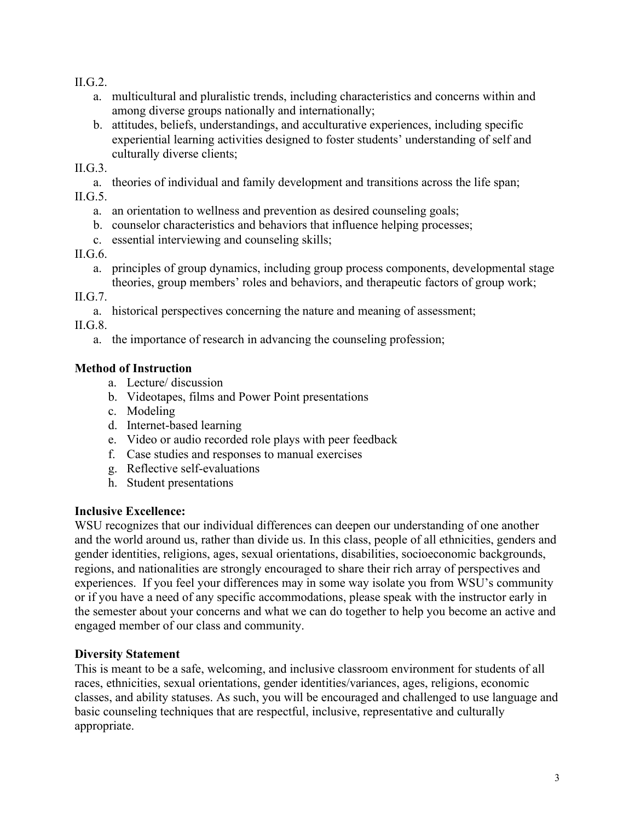II.G.2.

- a. multicultural and pluralistic trends, including characteristics and concerns within and among diverse groups nationally and internationally;
- b. attitudes, beliefs, understandings, and acculturative experiences, including specific experiential learning activities designed to foster students' understanding of self and culturally diverse clients;

 $II.G.3.$ 

a. theories of individual and family development and transitions across the life span; II.G.5.

- a. an orientation to wellness and prevention as desired counseling goals;
- b. counselor characteristics and behaviors that influence helping processes;
- c. essential interviewing and counseling skills;

## II.G.6.

a. principles of group dynamics, including group process components, developmental stage theories, group members' roles and behaviors, and therapeutic factors of group work;

II.G.7.

a. historical perspectives concerning the nature and meaning of assessment;

II.G.8.

a. the importance of research in advancing the counseling profession;

## **Method of Instruction**

- a. Lecture/ discussion
- b. Videotapes, films and Power Point presentations
- c. Modeling
- d. Internet-based learning
- e. Video or audio recorded role plays with peer feedback
- f. Case studies and responses to manual exercises
- g. Reflective self-evaluations
- h. Student presentations

## **Inclusive Excellence:**

WSU recognizes that our individual differences can deepen our understanding of one another and the world around us, rather than divide us. In this class, people of all ethnicities, genders and gender identities, religions, ages, sexual orientations, disabilities, socioeconomic backgrounds, regions, and nationalities are strongly encouraged to share their rich array of perspectives and experiences. If you feel your differences may in some way isolate you from WSU's community or if you have a need of any specific accommodations, please speak with the instructor early in the semester about your concerns and what we can do together to help you become an active and engaged member of our class and community.

## **Diversity Statement**

This is meant to be a safe, welcoming, and inclusive classroom environment for students of all races, ethnicities, sexual orientations, gender identities/variances, ages, religions, economic classes, and ability statuses. As such, you will be encouraged and challenged to use language and basic counseling techniques that are respectful, inclusive, representative and culturally appropriate.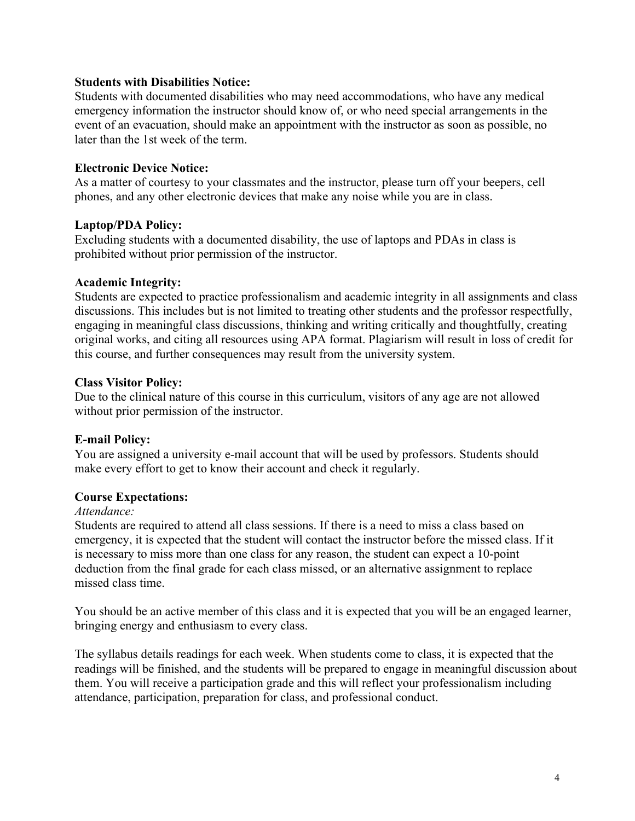#### **Students with Disabilities Notice:**

Students with documented disabilities who may need accommodations, who have any medical emergency information the instructor should know of, or who need special arrangements in the event of an evacuation, should make an appointment with the instructor as soon as possible, no later than the 1st week of the term.

#### **Electronic Device Notice:**

As a matter of courtesy to your classmates and the instructor, please turn off your beepers, cell phones, and any other electronic devices that make any noise while you are in class.

#### **Laptop/PDA Policy:**

Excluding students with a documented disability, the use of laptops and PDAs in class is prohibited without prior permission of the instructor.

#### **Academic Integrity:**

Students are expected to practice professionalism and academic integrity in all assignments and class discussions. This includes but is not limited to treating other students and the professor respectfully, engaging in meaningful class discussions, thinking and writing critically and thoughtfully, creating original works, and citing all resources using APA format. Plagiarism will result in loss of credit for this course, and further consequences may result from the university system.

#### **Class Visitor Policy:**

Due to the clinical nature of this course in this curriculum, visitors of any age are not allowed without prior permission of the instructor.

## **E-mail Policy:**

You are assigned a university e-mail account that will be used by professors. Students should make every effort to get to know their account and check it regularly.

#### **Course Expectations:**

#### *Attendance:*

Students are required to attend all class sessions. If there is a need to miss a class based on emergency, it is expected that the student will contact the instructor before the missed class. If it is necessary to miss more than one class for any reason, the student can expect a 10-point deduction from the final grade for each class missed, or an alternative assignment to replace missed class time.

You should be an active member of this class and it is expected that you will be an engaged learner, bringing energy and enthusiasm to every class.

The syllabus details readings for each week. When students come to class, it is expected that the readings will be finished, and the students will be prepared to engage in meaningful discussion about them. You will receive a participation grade and this will reflect your professionalism including attendance, participation, preparation for class, and professional conduct.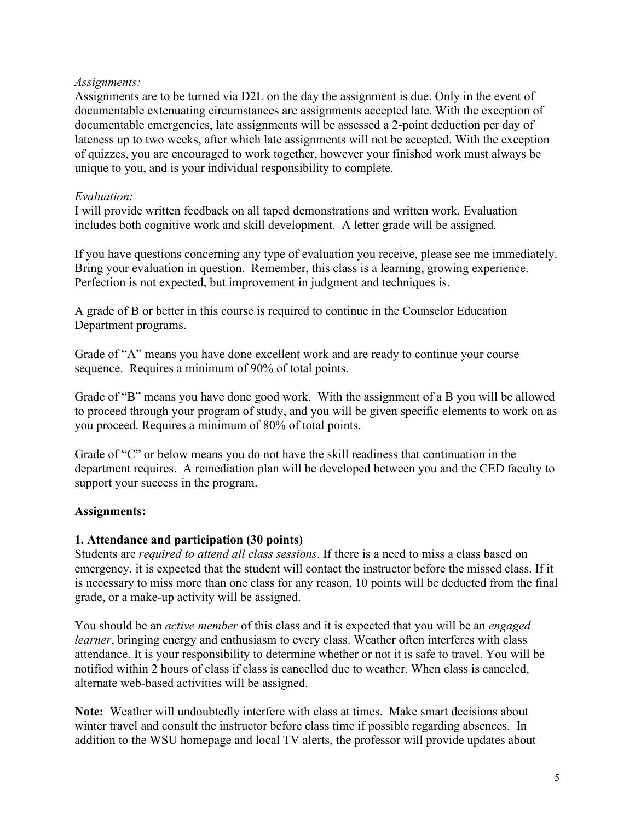#### *Assignments:*

Assignments are to be turned via D2L on the day the assignment is due. Only in the event of documentable extenuating circumstances are assignments accepted late. With the exception of documentable emergencies, late assignments will be assessed a 2-point deduction per day of lateness up to two weeks, after which late assignments will not be accepted. With the exception of quizzes, you are encouraged to work together, however your finished work must always be unique to you, and is your individual responsibility to complete.

#### *Evaluation:*

I will provide written feedback on all taped demonstrations and written work. Evaluation includes both cognitive work and skill development. A letter grade will be assigned.

If you have questions concerning any type of evaluation you receive, please see me immediately. Bring your evaluation in question. Remember, this class is a learning, growing experience. Perfection is not expected, but improvement in judgment and techniques is.

A grade of B or better in this course is required to continue in the Counselor Education Department programs.

Grade of "A" means you have done excellent work and are ready to continue your course sequence. Requires a minimum of 90% of total points.

Grade of "B" means you have done good work. With the assignment of a B you will be allowed to proceed through your program of study, and you will be given specific elements to work on as you proceed. Requires a minimum of 80% of total points.

Grade of "C" or below means you do not have the skill readiness that continuation in the department requires. A remediation plan will be developed between you and the CED faculty to support your success in the program.

## **Assignments:**

#### **1. Attendance and participation (30 points)**

Students are *required to attend all class sessions*. If there is a need to miss a class based on emergency, it is expected that the student will contact the instructor before the missed class. If it is necessary to miss more than one class for any reason, 10 points will be deducted from the final grade, or a make-up activity will be assigned.

You should be an *active member* of this class and it is expected that you will be an *engaged learner*, bringing energy and enthusiasm to every class. Weather often interferes with class attendance. It is your responsibility to determine whether or not it is safe to travel. You will be notified within 2 hours of class if class is cancelled due to weather. When class is canceled, alternate web-based activities will be assigned.

**Note:** Weather will undoubtedly interfere with class at times. Make smart decisions about winter travel and consult the instructor before class time if possible regarding absences. In addition to the WSU homepage and local TV alerts, the professor will provide updates about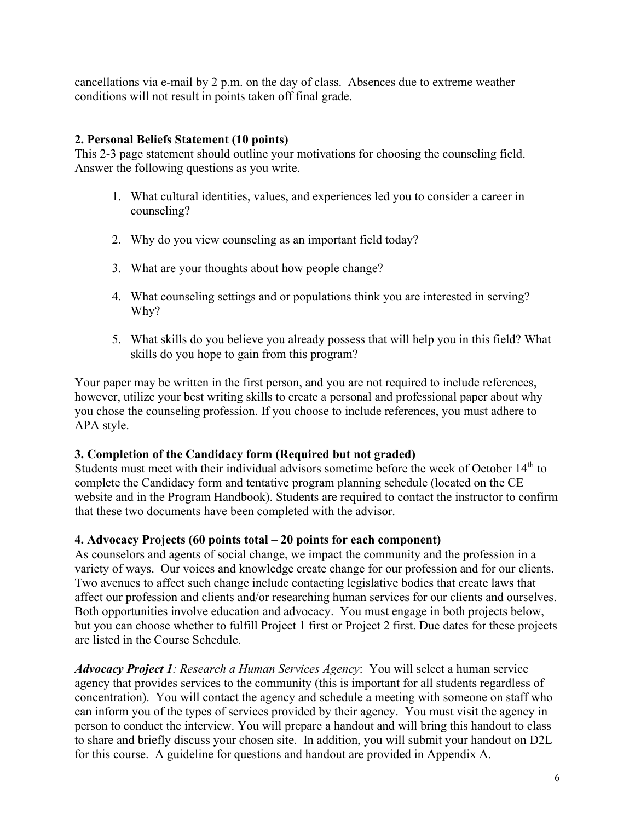cancellations via e-mail by 2 p.m. on the day of class. Absences due to extreme weather conditions will not result in points taken off final grade.

## **2. Personal Beliefs Statement (10 points)**

This 2-3 page statement should outline your motivations for choosing the counseling field. Answer the following questions as you write.

- 1. What cultural identities, values, and experiences led you to consider a career in counseling?
- 2. Why do you view counseling as an important field today?
- 3. What are your thoughts about how people change?
- 4. What counseling settings and or populations think you are interested in serving? Why?
- 5. What skills do you believe you already possess that will help you in this field? What skills do you hope to gain from this program?

Your paper may be written in the first person, and you are not required to include references, however, utilize your best writing skills to create a personal and professional paper about why you chose the counseling profession. If you choose to include references, you must adhere to APA style.

## **3. Completion of the Candidacy form (Required but not graded)**

Students must meet with their individual advisors sometime before the week of October 14<sup>th</sup> to complete the Candidacy form and tentative program planning schedule (located on the CE website and in the Program Handbook). Students are required to contact the instructor to confirm that these two documents have been completed with the advisor.

## **4. Advocacy Projects (60 points total – 20 points for each component)**

As counselors and agents of social change, we impact the community and the profession in a variety of ways. Our voices and knowledge create change for our profession and for our clients. Two avenues to affect such change include contacting legislative bodies that create laws that affect our profession and clients and/or researching human services for our clients and ourselves. Both opportunities involve education and advocacy. You must engage in both projects below, but you can choose whether to fulfill Project 1 first or Project 2 first. Due dates for these projects are listed in the Course Schedule.

*Advocacy Project 1: Research a Human Services Agency*: You will select a human service agency that provides services to the community (this is important for all students regardless of concentration). You will contact the agency and schedule a meeting with someone on staff who can inform you of the types of services provided by their agency. You must visit the agency in person to conduct the interview. You will prepare a handout and will bring this handout to class to share and briefly discuss your chosen site. In addition, you will submit your handout on D2L for this course. A guideline for questions and handout are provided in Appendix A.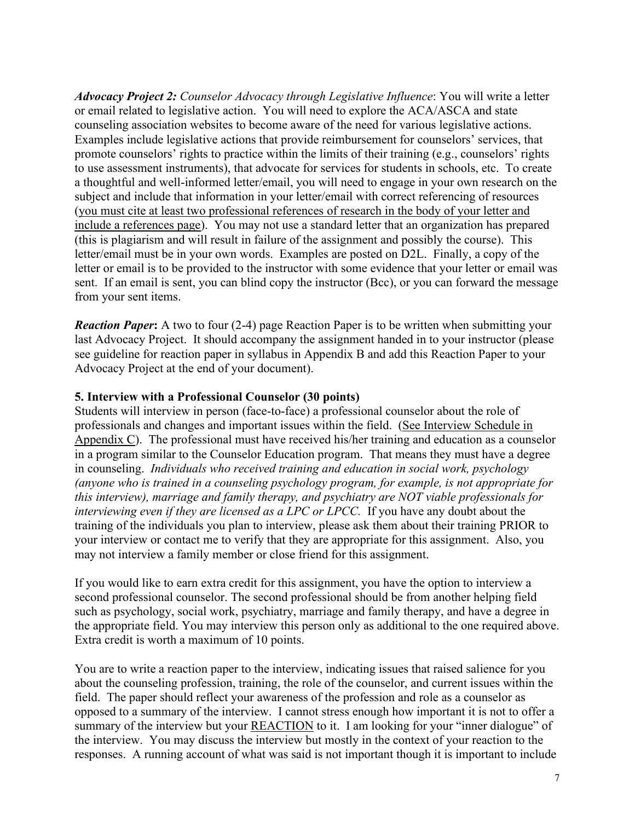*Advocacy Project 2: Counselor Advocacy through Legislative Influence*: You will write a letter or email related to legislative action. You will need to explore the ACA/ASCA and state counseling association websites to become aware of the need for various legislative actions. Examples include legislative actions that provide reimbursement for counselors' services, that promote counselors' rights to practice within the limits of their training (e.g., counselors' rights to use assessment instruments), that advocate for services for students in schools, etc. To create a thoughtful and well-informed letter/email, you will need to engage in your own research on the subject and include that information in your letter/email with correct referencing of resources (you must cite at least two professional references of research in the body of your letter and include a references page). You may not use a standard letter that an organization has prepared (this is plagiarism and will result in failure of the assignment and possibly the course). This letter/email must be in your own words. Examples are posted on D2L. Finally, a copy of the letter or email is to be provided to the instructor with some evidence that your letter or email was sent. If an email is sent, you can blind copy the instructor (Bcc), or you can forward the message from your sent items.

*Reaction Paper*: A two to four (2-4) page Reaction Paper is to be written when submitting your last Advocacy Project. It should accompany the assignment handed in to your instructor (please see guideline for reaction paper in syllabus in Appendix B and add this Reaction Paper to your Advocacy Project at the end of your document).

#### **5. Interview with a Professional Counselor (30 points)**

Students will interview in person (face-to-face) a professional counselor about the role of professionals and changes and important issues within the field. (See Interview Schedule in Appendix C). The professional must have received his/her training and education as a counselor in a program similar to the Counselor Education program. That means they must have a degree in counseling. *Individuals who received training and education in social work, psychology (anyone who is trained in a counseling psychology program, for example, is not appropriate for this interview), marriage and family therapy, and psychiatry are NOT viable professionals for interviewing even if they are licensed as a LPC or LPCC.* If you have any doubt about the training of the individuals you plan to interview, please ask them about their training PRIOR to your interview or contact me to verify that they are appropriate for this assignment. Also, you may not interview a family member or close friend for this assignment.

If you would like to earn extra credit for this assignment, you have the option to interview a second professional counselor. The second professional should be from another helping field such as psychology, social work, psychiatry, marriage and family therapy, and have a degree in the appropriate field. You may interview this person only as additional to the one required above. Extra credit is worth a maximum of 10 points.

You are to write a reaction paper to the interview, indicating issues that raised salience for you about the counseling profession, training, the role of the counselor, and current issues within the field. The paper should reflect your awareness of the profession and role as a counselor as opposed to a summary of the interview. I cannot stress enough how important it is not to offer a summary of the interview but your REACTION to it. I am looking for your "inner dialogue" of the interview. You may discuss the interview but mostly in the context of your reaction to the responses. A running account of what was said is not important though it is important to include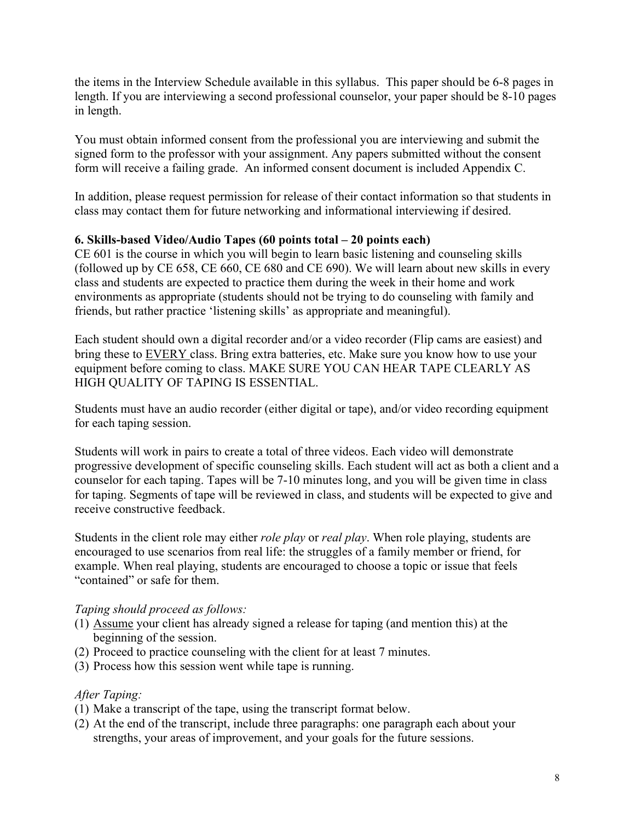the items in the Interview Schedule available in this syllabus. This paper should be 6-8 pages in length. If you are interviewing a second professional counselor, your paper should be 8-10 pages in length.

You must obtain informed consent from the professional you are interviewing and submit the signed form to the professor with your assignment. Any papers submitted without the consent form will receive a failing grade. An informed consent document is included Appendix C.

In addition, please request permission for release of their contact information so that students in class may contact them for future networking and informational interviewing if desired.

## **6. Skills-based Video/Audio Tapes (60 points total – 20 points each)**

CE 601 is the course in which you will begin to learn basic listening and counseling skills (followed up by CE 658, CE 660, CE 680 and CE 690). We will learn about new skills in every class and students are expected to practice them during the week in their home and work environments as appropriate (students should not be trying to do counseling with family and friends, but rather practice 'listening skills' as appropriate and meaningful).

Each student should own a digital recorder and/or a video recorder (Flip cams are easiest) and bring these to EVERY class. Bring extra batteries, etc. Make sure you know how to use your equipment before coming to class. MAKE SURE YOU CAN HEAR TAPE CLEARLY AS HIGH QUALITY OF TAPING IS ESSENTIAL.

Students must have an audio recorder (either digital or tape), and/or video recording equipment for each taping session.

Students will work in pairs to create a total of three videos. Each video will demonstrate progressive development of specific counseling skills. Each student will act as both a client and a counselor for each taping. Tapes will be 7-10 minutes long, and you will be given time in class for taping. Segments of tape will be reviewed in class, and students will be expected to give and receive constructive feedback.

Students in the client role may either *role play* or *real play*. When role playing, students are encouraged to use scenarios from real life: the struggles of a family member or friend, for example. When real playing, students are encouraged to choose a topic or issue that feels "contained" or safe for them.

## *Taping should proceed as follows:*

- (1) Assume your client has already signed a release for taping (and mention this) at the beginning of the session.
- (2) Proceed to practice counseling with the client for at least 7 minutes.
- (3) Process how this session went while tape is running.

## *After Taping:*

- (1) Make a transcript of the tape, using the transcript format below.
- (2) At the end of the transcript, include three paragraphs: one paragraph each about your strengths, your areas of improvement, and your goals for the future sessions.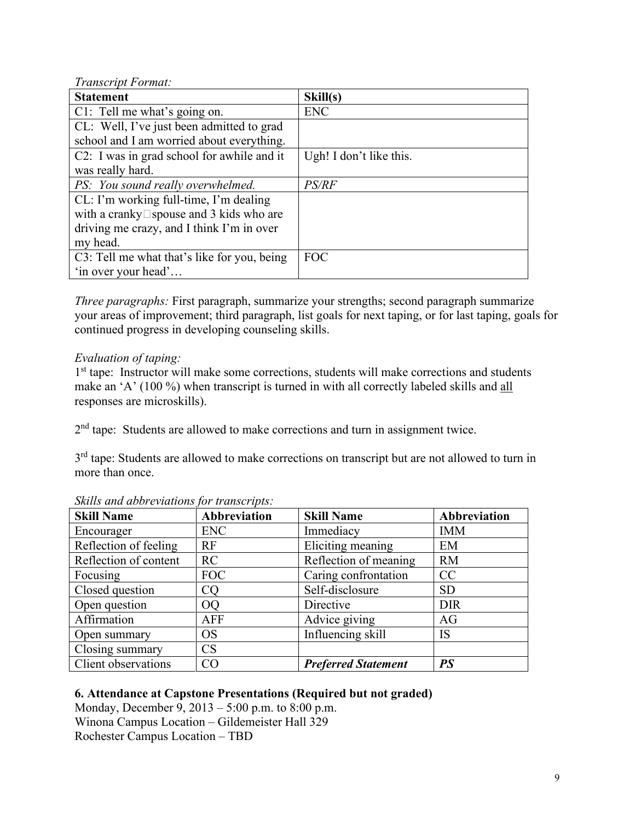*Transcript Format:* 

| <b>Statement</b>                                  | Skill(s)                |
|---------------------------------------------------|-------------------------|
| C1: Tell me what's going on.                      | <b>ENC</b>              |
| CL: Well, I've just been admitted to grad         |                         |
| school and I am worried about everything.         |                         |
| C2: I was in grad school for awhile and it        | Ugh! I don't like this. |
| was really hard.                                  |                         |
| PS: You sound really overwhelmed.                 | PS/RF                   |
| CL: I'm working full-time, I'm dealing            |                         |
| with a cranky $\square$ spouse and 3 kids who are |                         |
| driving me crazy, and I think I'm in over         |                         |
| my head.                                          |                         |
| C3: Tell me what that's like for you, being       | <b>FOC</b>              |
| 'in over your head'                               |                         |

*Three paragraphs:* First paragraph, summarize your strengths; second paragraph summarize your areas of improvement; third paragraph, list goals for next taping, or for last taping, goals for continued progress in developing counseling skills.

## *Evaluation of taping:*

1<sup>st</sup> tape: Instructor will make some corrections, students will make corrections and students make an 'A' (100 %) when transcript is turned in with all correctly labeled skills and all responses are microskills).

2<sup>nd</sup> tape: Students are allowed to make corrections and turn in assignment twice.

3<sup>rd</sup> tape: Students are allowed to make corrections on transcript but are not allowed to turn in more than once.

| <b>Skill Name</b>     | Abbreviation | <b>Skill Name</b>          | Abbreviation |
|-----------------------|--------------|----------------------------|--------------|
| Encourager            | ENC          | Immediacy                  | <b>IMM</b>   |
| Reflection of feeling | RF           | Eliciting meaning          | EM           |
| Reflection of content | RC           | Reflection of meaning      | <b>RM</b>    |
| Focusing              | FOC          | Caring confrontation       | CC           |
| Closed question       | <b>CQ</b>    | Self-disclosure            | <b>SD</b>    |
| Open question         | <b>OQ</b>    | Directive                  | <b>DIR</b>   |
| Affirmation           | <b>AFF</b>   | Advice giving              | AG           |
| Open summary          | <b>OS</b>    | Influencing skill          | <b>IS</b>    |
| Closing summary       | CS           |                            |              |
| Client observations   | CO           | <b>Preferred Statement</b> | <b>PS</b>    |

#### *Skills and abbreviations for transcripts:*

#### **6. Attendance at Capstone Presentations (Required but not graded)**

Monday, December 9, 2013 – 5:00 p.m. to 8:00 p.m. Winona Campus Location – Gildemeister Hall 329 Rochester Campus Location – TBD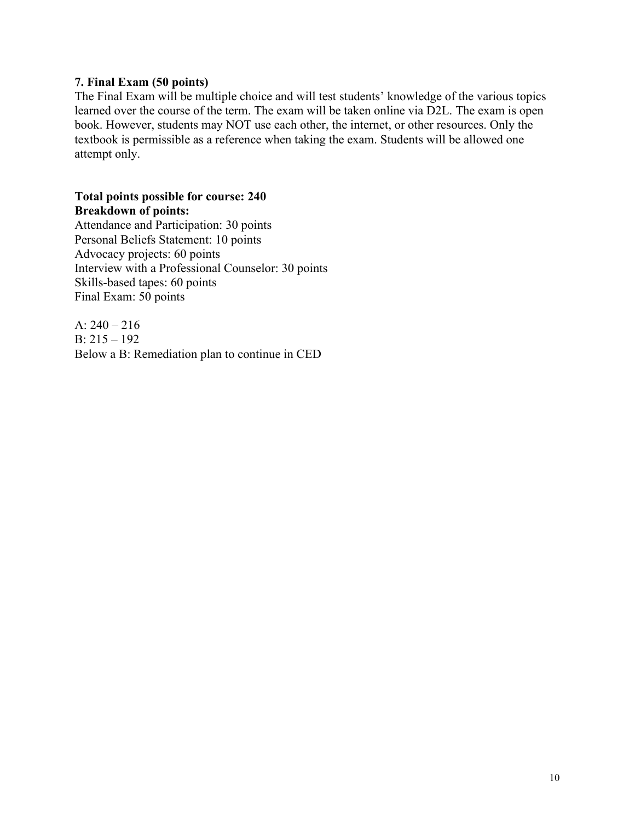#### **7. Final Exam (50 points)**

The Final Exam will be multiple choice and will test students' knowledge of the various topics learned over the course of the term. The exam will be taken online via D2L. The exam is open book. However, students may NOT use each other, the internet, or other resources. Only the textbook is permissible as a reference when taking the exam. Students will be allowed one attempt only.

#### **Total points possible for course: 240 Breakdown of points:**

Attendance and Participation: 30 points Personal Beliefs Statement: 10 points Advocacy projects: 60 points Interview with a Professional Counselor: 30 points Skills-based tapes: 60 points Final Exam: 50 points

A:  $240 - 216$ B: 215 – 192 Below a B: Remediation plan to continue in CED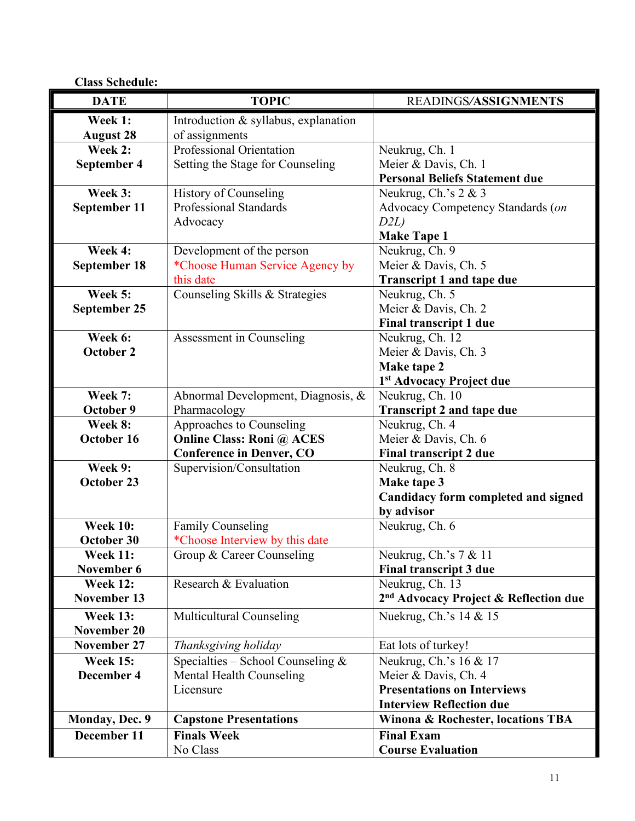| <b>Class Schedule:</b> |                                      |                                                   |
|------------------------|--------------------------------------|---------------------------------------------------|
| <b>DATE</b>            | <b>TOPIC</b>                         | READINGS/ASSIGNMENTS                              |
| Week 1:                | Introduction & syllabus, explanation |                                                   |
| <b>August 28</b>       | of assignments                       |                                                   |
| Week 2:                | Professional Orientation             | Neukrug, Ch. 1                                    |
| September 4            | Setting the Stage for Counseling     | Meier & Davis, Ch. 1                              |
|                        |                                      | <b>Personal Beliefs Statement due</b>             |
| Week 3:                | <b>History of Counseling</b>         | Neukrug, Ch.'s $2 & 3$                            |
| September 11           | <b>Professional Standards</b>        | Advocacy Competency Standards (on                 |
|                        | Advocacy                             | D2L                                               |
|                        |                                      | <b>Make Tape 1</b>                                |
| Week 4:                | Development of the person            | Neukrug, Ch. 9                                    |
| <b>September 18</b>    | *Choose Human Service Agency by      | Meier & Davis, Ch. 5                              |
|                        | this date                            | <b>Transcript 1 and tape due</b>                  |
| Week 5:                | Counseling Skills & Strategies       | Neukrug, Ch. 5                                    |
| September 25           |                                      | Meier & Davis, Ch. 2                              |
|                        |                                      | <b>Final transcript 1 due</b>                     |
| Week 6:                | Assessment in Counseling             | Neukrug, Ch. 12                                   |
| <b>October 2</b>       |                                      | Meier & Davis, Ch. 3                              |
|                        |                                      | Make tape 2                                       |
|                        |                                      | 1st Advocacy Project due                          |
| Week 7:                | Abnormal Development, Diagnosis, &   | Neukrug, Ch. 10                                   |
| October 9              | Pharmacology                         | <b>Transcript 2 and tape due</b>                  |
| Week 8:                | Approaches to Counseling             | Neukrug, Ch. 4                                    |
| October 16             | <b>Online Class: Roni @ ACES</b>     | Meier & Davis, Ch. 6                              |
|                        | <b>Conference in Denver, CO</b>      | <b>Final transcript 2 due</b>                     |
| Week 9:                | Supervision/Consultation             | Neukrug, Ch. 8                                    |
| October 23             |                                      | Make tape 3                                       |
|                        |                                      | Candidacy form completed and signed               |
|                        |                                      | by advisor                                        |
| <b>Week 10:</b>        | <b>Family Counseling</b>             | Neukrug, Ch. 6                                    |
| October 30             | *Choose Interview by this date       |                                                   |
| <b>Week 11:</b>        | Group & Career Counseling            | Neukrug, Ch.'s 7 & 11                             |
| November 6             |                                      | <b>Final transcript 3 due</b>                     |
| <b>Week 12:</b>        | Research & Evaluation                | Neukrug, Ch. 13                                   |
| November 13            |                                      | 2 <sup>nd</sup> Advocacy Project & Reflection due |
| <b>Week 13:</b>        | Multicultural Counseling             | Nuekrug, Ch.'s 14 & 15                            |
| November 20            |                                      |                                                   |
| <b>November 27</b>     | Thanksgiving holiday                 | Eat lots of turkey!                               |
| <b>Week 15:</b>        | Specialties – School Counseling $&$  | Neukrug, Ch.'s 16 & 17                            |
| December 4             | Mental Health Counseling             | Meier & Davis, Ch. 4                              |
|                        | Licensure                            | <b>Presentations on Interviews</b>                |
|                        |                                      | <b>Interview Reflection due</b>                   |
| Monday, Dec. 9         | <b>Capstone Presentations</b>        | <b>Winona &amp; Rochester, locations TBA</b>      |
| December 11            | <b>Finals Week</b>                   | <b>Final Exam</b>                                 |
|                        | No Class                             | <b>Course Evaluation</b>                          |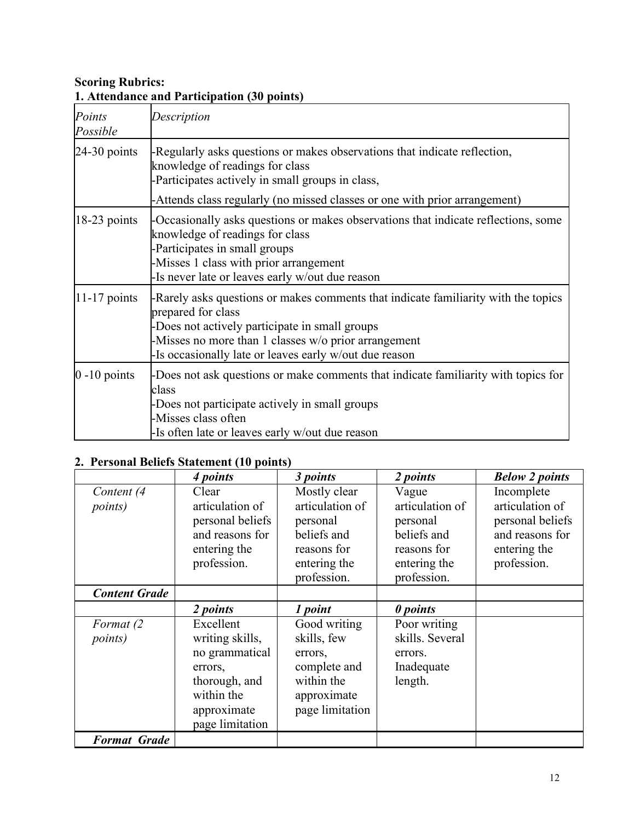# **Scoring Rubrics: 1. Attendance and Participation (30 points)**

| Points<br>Possible | Description                                                                                                                                                                                                                                                                 |
|--------------------|-----------------------------------------------------------------------------------------------------------------------------------------------------------------------------------------------------------------------------------------------------------------------------|
| $24-30$ points     | -Regularly asks questions or makes observations that indicate reflection,<br>knowledge of readings for class<br>-Participates actively in small groups in class,<br>-Attends class regularly (no missed classes or one with prior arrangement)                              |
| $18-23$ points     | -Occasionally asks questions or makes observations that indicate reflections, some<br>knowledge of readings for class<br>-Participates in small groups<br>Misses 1 class with prior arrangement<br>Is never late or leaves early w/out due reason                           |
| $11-17$ points     | -Rarely asks questions or makes comments that indicate familiarity with the topics<br>prepared for class<br>-Does not actively participate in small groups<br>-Misses no more than 1 classes w/o prior arrangement<br>Is occasionally late or leaves early w/out due reason |
| $0 - 10$ points    | -Does not ask questions or make comments that indicate familiarity with topics for<br>class<br>-Does not participate actively in small groups<br>-Misses class often<br>-Is often late or leaves early w/out due reason                                                     |

# **2. Personal Beliefs Statement (10 points)**

|                               | 4 points                                                                                                                   | 3 points                                                                                                 | 2 points                                                                                          | <b>Below 2 points</b>                                                                               |
|-------------------------------|----------------------------------------------------------------------------------------------------------------------------|----------------------------------------------------------------------------------------------------------|---------------------------------------------------------------------------------------------------|-----------------------------------------------------------------------------------------------------|
| Content (4<br><i>points</i> ) | Clear<br>articulation of<br>personal beliefs<br>and reasons for<br>entering the<br>profession.                             | Mostly clear<br>articulation of<br>personal<br>beliefs and<br>reasons for<br>entering the<br>profession. | Vague<br>articulation of<br>personal<br>beliefs and<br>reasons for<br>entering the<br>profession. | Incomplete<br>articulation of<br>personal beliefs<br>and reasons for<br>entering the<br>profession. |
| <b>Content Grade</b>          |                                                                                                                            |                                                                                                          |                                                                                                   |                                                                                                     |
|                               | 2 points                                                                                                                   | 1 point                                                                                                  | 0 points                                                                                          |                                                                                                     |
| Format (2)<br><i>points</i> ) | Excellent<br>writing skills,<br>no grammatical<br>errors,<br>thorough, and<br>within the<br>approximate<br>page limitation | Good writing<br>skills, few<br>errors,<br>complete and<br>within the<br>approximate<br>page limitation   | Poor writing<br>skills. Several<br>errors.<br>Inadequate<br>length.                               |                                                                                                     |
| <b>Format Grade</b>           |                                                                                                                            |                                                                                                          |                                                                                                   |                                                                                                     |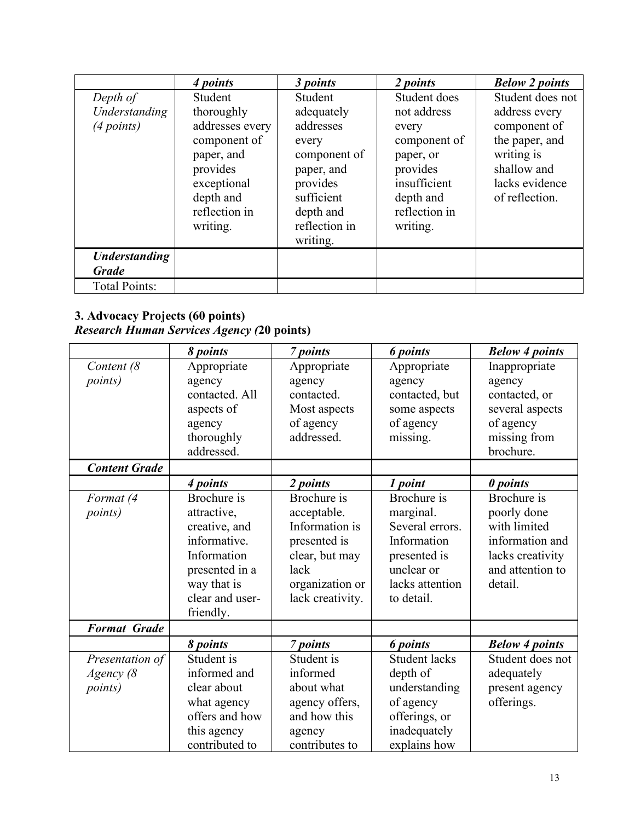|                                      | 4 points                                                                                            | 3 points                                                                                 | 2 points                                                                                   | <b>Below 2 points</b>                                                                                            |
|--------------------------------------|-----------------------------------------------------------------------------------------------------|------------------------------------------------------------------------------------------|--------------------------------------------------------------------------------------------|------------------------------------------------------------------------------------------------------------------|
| Depth of                             | Student                                                                                             | Student                                                                                  | Student does                                                                               | Student does not                                                                                                 |
| Understanding<br>(4 points)          | thoroughly<br>addresses every<br>component of<br>paper, and<br>provides<br>exceptional<br>depth and | adequately<br>addresses<br>every<br>component of<br>paper, and<br>provides<br>sufficient | not address<br>every<br>component of<br>paper, or<br>provides<br>insufficient<br>depth and | address every<br>component of<br>the paper, and<br>writing is<br>shallow and<br>lacks evidence<br>of reflection. |
|                                      | reflection in<br>writing.                                                                           | depth and<br>reflection in<br>writing.                                                   | reflection in<br>writing.                                                                  |                                                                                                                  |
| <b>Understanding</b><br><b>Grade</b> |                                                                                                     |                                                                                          |                                                                                            |                                                                                                                  |
| <b>Total Points:</b>                 |                                                                                                     |                                                                                          |                                                                                            |                                                                                                                  |

## **3. Advocacy Projects (60 points)** *Research Human Services Agency (***20 points)**

|                      | 8 points        | 7 points         | <b>6</b> points      | <b>Below 4 points</b> |
|----------------------|-----------------|------------------|----------------------|-----------------------|
| Content (8           | Appropriate     | Appropriate      | Appropriate          | Inappropriate         |
| <i>points</i> )      | agency          | agency           | agency               | agency                |
|                      | contacted. All  | contacted.       | contacted, but       | contacted, or         |
|                      | aspects of      | Most aspects     | some aspects         | several aspects       |
|                      | agency          | of agency        | of agency            | of agency             |
|                      | thoroughly      | addressed.       | missing.             | missing from          |
|                      | addressed.      |                  |                      | brochure.             |
| <b>Content Grade</b> |                 |                  |                      |                       |
|                      | 4 points        | 2 points         | 1 point              | 0 points              |
| Format (4            | Brochure is     | Brochure is      | Brochure is          | Brochure is           |
| <i>points</i> )      | attractive,     | acceptable.      | marginal.            | poorly done           |
|                      | creative, and   | Information is   | Several errors.      | with limited          |
|                      | informative.    | presented is     | Information          | information and       |
|                      | Information     | clear, but may   | presented is         | lacks creativity      |
|                      | presented in a  | lack             | unclear or           | and attention to      |
|                      | way that is     | organization or  | lacks attention      | detail.               |
|                      | clear and user- | lack creativity. | to detail.           |                       |
|                      | friendly.       |                  |                      |                       |
| <b>Format Grade</b>  |                 |                  |                      |                       |
|                      | 8 points        | 7 points         | <b>6</b> points      | <b>Below 4 points</b> |
| Presentation of      | Student is      | Student is       | <b>Student lacks</b> | Student does not      |
| Agency (8            | informed and    | informed         | depth of             | adequately            |
| <i>points</i> )      | clear about     | about what       | understanding        | present agency        |
|                      | what agency     | agency offers,   | of agency            | offerings.            |
|                      | offers and how  | and how this     | offerings, or        |                       |
|                      | this agency     | agency           | inadequately         |                       |
|                      | contributed to  | contributes to   | explains how         |                       |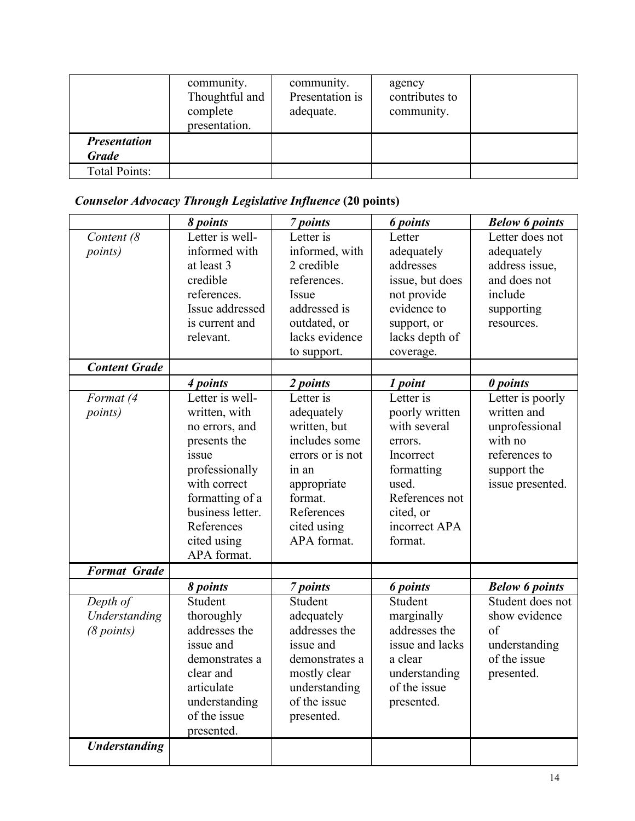|                                     | community.<br>Thoughtful and<br>complete<br>presentation. | community.<br>Presentation is<br>adequate. | agency<br>contributes to<br>community. |  |
|-------------------------------------|-----------------------------------------------------------|--------------------------------------------|----------------------------------------|--|
| <b>Presentation</b><br><b>Grade</b> |                                                           |                                            |                                        |  |
| <b>Total Points:</b>                |                                                           |                                            |                                        |  |

# *Counselor Advocacy Through Legislative Influence* **(20 points)**

|                                         | 8 points                                                                                                                                                                                                     | 7 points                                                                                                                                                                | <b>6</b> points                                                                                                                                                  | <b>Below 6 points</b>                                                                                                        |
|-----------------------------------------|--------------------------------------------------------------------------------------------------------------------------------------------------------------------------------------------------------------|-------------------------------------------------------------------------------------------------------------------------------------------------------------------------|------------------------------------------------------------------------------------------------------------------------------------------------------------------|------------------------------------------------------------------------------------------------------------------------------|
| Content (8<br><i>points</i> )           | Letter is well-<br>informed with<br>at least 3<br>credible<br>references.<br>Issue addressed<br>is current and<br>relevant.                                                                                  | Letter is<br>informed, with<br>2 credible<br>references.<br>Issue<br>addressed is<br>outdated, or<br>lacks evidence<br>to support.                                      | Letter<br>adequately<br>addresses<br>issue, but does<br>not provide<br>evidence to<br>support, or<br>lacks depth of<br>coverage.                                 | Letter does not<br>adequately<br>address issue,<br>and does not<br>include<br>supporting<br>resources.                       |
| <b>Content Grade</b>                    |                                                                                                                                                                                                              |                                                                                                                                                                         |                                                                                                                                                                  |                                                                                                                              |
| Format (4<br><i>points</i> )            | 4 points<br>Letter is well-<br>written, with<br>no errors, and<br>presents the<br>issue<br>professionally<br>with correct<br>formatting of a<br>business letter.<br>References<br>cited using<br>APA format. | 2 points<br>Letter is<br>adequately<br>written, but<br>includes some<br>errors or is not<br>in an<br>appropriate<br>format.<br>References<br>cited using<br>APA format. | 1 point<br>Letter is<br>poorly written<br>with several<br>errors.<br>Incorrect<br>formatting<br>used.<br>References not<br>cited, or<br>incorrect APA<br>format. | 0 points<br>Letter is poorly<br>written and<br>unprofessional<br>with no<br>references to<br>support the<br>issue presented. |
| <b>Format Grade</b>                     |                                                                                                                                                                                                              |                                                                                                                                                                         |                                                                                                                                                                  |                                                                                                                              |
| Depth of<br>Understanding<br>(8 points) | 8 points<br>Student<br>thoroughly<br>addresses the<br>issue and<br>demonstrates a<br>clear and<br>articulate<br>understanding<br>of the issue<br>presented.                                                  | 7 points<br>Student<br>adequately<br>addresses the<br>issue and<br>demonstrates a<br>mostly clear<br>understanding<br>of the issue<br>presented.                        | <b>6</b> points<br>Student<br>marginally<br>addresses the<br>issue and lacks<br>a clear<br>understanding<br>of the issue<br>presented.                           | <b>Below 6 points</b><br>Student does not<br>show evidence<br>of<br>understanding<br>of the issue<br>presented.              |
| <b>Understanding</b>                    |                                                                                                                                                                                                              |                                                                                                                                                                         |                                                                                                                                                                  |                                                                                                                              |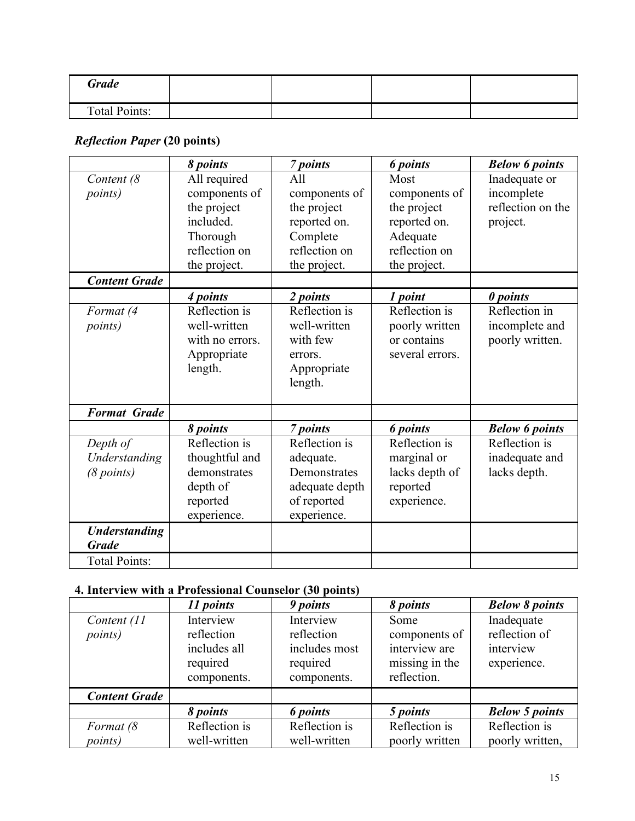| <b>Grade</b>         |  |  |
|----------------------|--|--|
| <b>Total Points:</b> |  |  |

# *Reflection Paper* **(20 points)**

|                                                       | 8 points                                                                                               | 7 points                                                                                         | <b>6</b> points                                                                                   | <b>Below 6 points</b>                                        |
|-------------------------------------------------------|--------------------------------------------------------------------------------------------------------|--------------------------------------------------------------------------------------------------|---------------------------------------------------------------------------------------------------|--------------------------------------------------------------|
| Content (8<br><i>points</i> )<br><b>Content Grade</b> | All required<br>components of<br>the project<br>included.<br>Thorough<br>reflection on<br>the project. | All<br>components of<br>the project<br>reported on.<br>Complete<br>reflection on<br>the project. | Most<br>components of<br>the project<br>reported on.<br>Adequate<br>reflection on<br>the project. | Inadequate or<br>incomplete<br>reflection on the<br>project. |
|                                                       | 4 points                                                                                               | 2 points                                                                                         | 1 point                                                                                           | 0 points                                                     |
| Format (4<br><i>points</i> )                          | Reflection is<br>well-written<br>with no errors.<br>Appropriate<br>length.                             | Reflection is<br>well-written<br>with few<br>errors.<br>Appropriate<br>length.                   | Reflection is<br>poorly written<br>or contains<br>several errors.                                 | Reflection in<br>incomplete and<br>poorly written.           |
| <b>Format Grade</b>                                   |                                                                                                        |                                                                                                  |                                                                                                   |                                                              |
|                                                       | 8 points                                                                                               | 7 points                                                                                         | <b>6</b> points                                                                                   | <b>Below 6 points</b>                                        |
| Depth of<br>Understanding<br>(8 points)               | Reflection is<br>thoughtful and<br>demonstrates<br>depth of<br>reported<br>experience.                 | Reflection is<br>adequate.<br>Demonstrates<br>adequate depth<br>of reported<br>experience.       | Reflection is<br>marginal or<br>lacks depth of<br>reported<br>experience.                         | Reflection is<br>inadequate and<br>lacks depth.              |
| <b>Understanding</b><br><b>Grade</b>                  |                                                                                                        |                                                                                                  |                                                                                                   |                                                              |
| <b>Total Points:</b>                                  |                                                                                                        |                                                                                                  |                                                                                                   |                                                              |

# **4. Interview with a Professional Counselor (30 points)**

|                                | 11 points                                                          | 9 points                                                            | 8 points                                                                | <b>Below 8 points</b>                                   |
|--------------------------------|--------------------------------------------------------------------|---------------------------------------------------------------------|-------------------------------------------------------------------------|---------------------------------------------------------|
| Content (11<br><i>points</i> ) | Interview<br>reflection<br>includes all<br>required<br>components. | Interview<br>reflection<br>includes most<br>required<br>components. | Some<br>components of<br>interview are<br>missing in the<br>reflection. | Inadequate<br>reflection of<br>interview<br>experience. |
| <b>Content Grade</b>           |                                                                    |                                                                     |                                                                         |                                                         |
|                                | 8 points                                                           | 6 points                                                            | 5 points                                                                | <b>Below 5 points</b>                                   |
| Format (8<br><i>points</i> )   | Reflection is<br>well-written                                      | Reflection is<br>well-written                                       | Reflection is<br>poorly written                                         | Reflection is<br>poorly written,                        |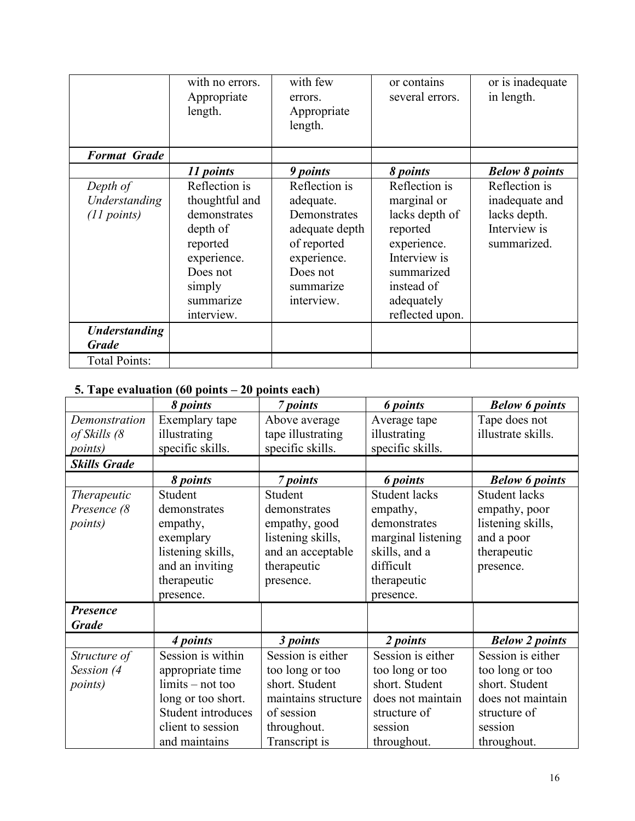|                                          | with no errors.<br>Appropriate<br>length.                                                                                               | with few<br>errors.<br>Appropriate<br>length.                                                                                     | or contains<br>several errors.                                                                                                                         | or is inadequate<br>in length.                                                 |
|------------------------------------------|-----------------------------------------------------------------------------------------------------------------------------------------|-----------------------------------------------------------------------------------------------------------------------------------|--------------------------------------------------------------------------------------------------------------------------------------------------------|--------------------------------------------------------------------------------|
| <b>Format Grade</b>                      |                                                                                                                                         |                                                                                                                                   |                                                                                                                                                        |                                                                                |
|                                          | 11 points                                                                                                                               | 9 points                                                                                                                          | 8 points                                                                                                                                               | <b>Below 8 points</b>                                                          |
| Depth of<br>Understanding<br>(11 points) | Reflection is<br>thoughtful and<br>demonstrates<br>depth of<br>reported<br>experience.<br>Does not<br>simply<br>summarize<br>interview. | Reflection is<br>adequate.<br>Demonstrates<br>adequate depth<br>of reported<br>experience.<br>Does not<br>summarize<br>interview. | Reflection is<br>marginal or<br>lacks depth of<br>reported<br>experience.<br>Interview is<br>summarized<br>instead of<br>adequately<br>reflected upon. | Reflection is<br>inadequate and<br>lacks depth.<br>Interview is<br>summarized. |
| <b>Understanding</b><br><b>Grade</b>     |                                                                                                                                         |                                                                                                                                   |                                                                                                                                                        |                                                                                |
| <b>Total Points:</b>                     |                                                                                                                                         |                                                                                                                                   |                                                                                                                                                        |                                                                                |

# **5. Tape evaluation (60 points – 20 points each)**

|                     | 8 points           | 7 points            | <b>6</b> points      | <b>Below 6 points</b> |
|---------------------|--------------------|---------------------|----------------------|-----------------------|
| Demonstration       | Exemplary tape     | Above average       | Average tape         | Tape does not         |
| of Skills (8        | illustrating       | tape illustrating   | illustrating         | illustrate skills.    |
| <i>points</i> )     | specific skills.   | specific skills.    | specific skills.     |                       |
| <b>Skills Grade</b> |                    |                     |                      |                       |
|                     | 8 points           | 7 points            | <b>6</b> points      | <b>Below 6 points</b> |
| <i>Therapeutic</i>  | Student            | Student             | <b>Student lacks</b> | <b>Student lacks</b>  |
| Presence (8         | demonstrates       | demonstrates        | empathy,             | empathy, poor         |
| <i>points</i> )     | empathy,           | empathy, good       | demonstrates         | listening skills,     |
|                     | exemplary          | listening skills,   | marginal listening   | and a poor            |
|                     | listening skills,  | and an acceptable   | skills, and a        | therapeutic           |
|                     | and an inviting    | therapeutic         | difficult            | presence.             |
|                     | therapeutic        | presence.           | therapeutic          |                       |
|                     | presence.          |                     | presence.            |                       |
| <b>Presence</b>     |                    |                     |                      |                       |
| <b>Grade</b>        |                    |                     |                      |                       |
|                     | 4 points           | 3 points            | 2 points             | <b>Below 2 points</b> |
| Structure of        | Session is within  | Session is either   | Session is either    | Session is either     |
| Session (4          | appropriate time   | too long or too     | too long or too      | too long or too       |
| <i>points</i> )     | $limits - not too$ | short. Student      | short. Student       | short. Student        |
|                     | long or too short. | maintains structure | does not maintain    | does not maintain     |
|                     | Student introduces | of session          | structure of         | structure of          |
|                     | client to session  | throughout.         | session              | session               |
|                     | and maintains      | Transcript is       | throughout.          | throughout.           |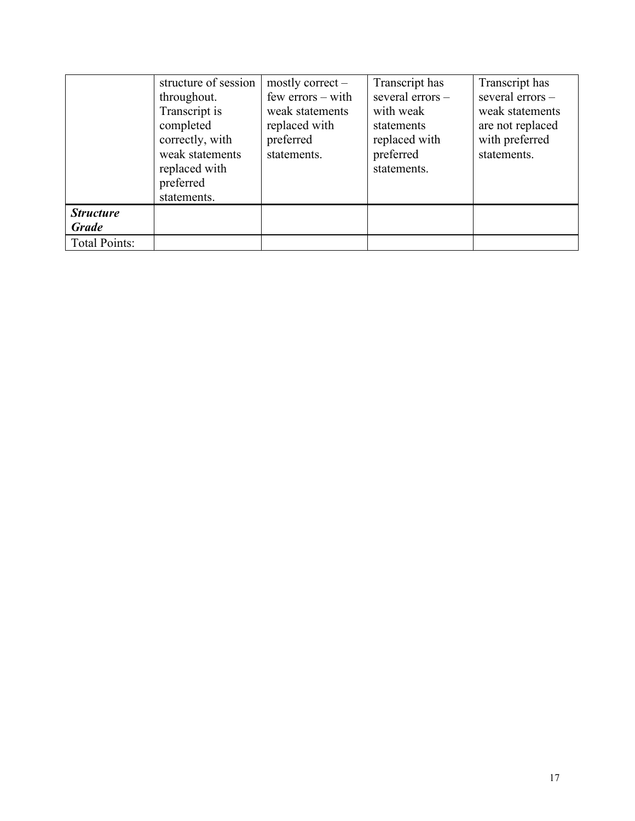|                      | structure of session | mostly correct $-$    | Transcript has   | Transcript has   |
|----------------------|----------------------|-----------------------|------------------|------------------|
|                      | throughout.          | $few$ errors $-$ with | several errors - | several errors - |
|                      | Transcript is        | weak statements       | with weak        | weak statements  |
|                      | completed            | replaced with         | statements       | are not replaced |
|                      | correctly, with      | preferred             | replaced with    | with preferred   |
|                      | weak statements      | statements.           | preferred        | statements.      |
|                      | replaced with        |                       | statements.      |                  |
|                      | preferred            |                       |                  |                  |
|                      | statements.          |                       |                  |                  |
| <b>Structure</b>     |                      |                       |                  |                  |
| <b>Grade</b>         |                      |                       |                  |                  |
| <b>Total Points:</b> |                      |                       |                  |                  |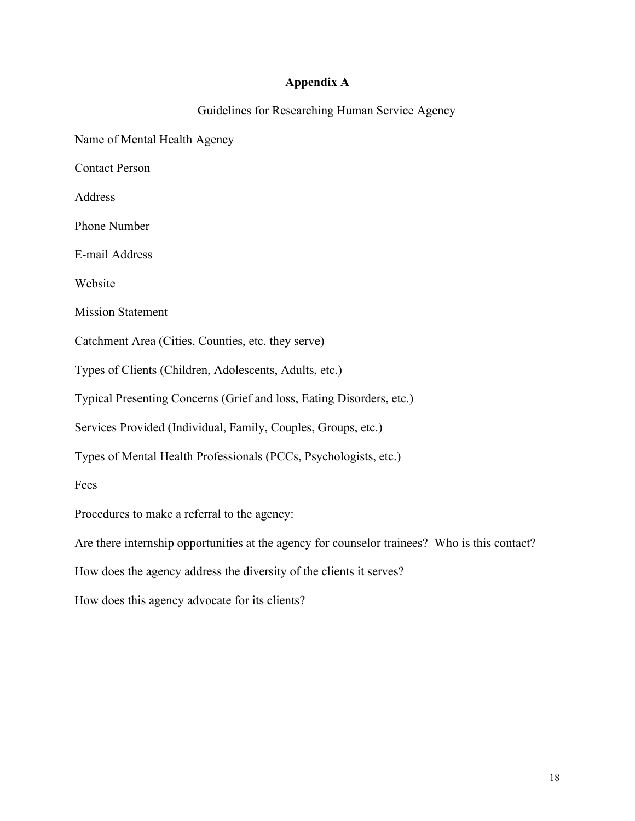#### **Appendix A**

Guidelines for Researching Human Service Agency

Name of Mental Health Agency

Contact Person

Address

Phone Number

E-mail Address

Website

Mission Statement

Catchment Area (Cities, Counties, etc. they serve)

Types of Clients (Children, Adolescents, Adults, etc.)

Typical Presenting Concerns (Grief and loss, Eating Disorders, etc.)

Services Provided (Individual, Family, Couples, Groups, etc.)

Types of Mental Health Professionals (PCCs, Psychologists, etc.)

Fees

Procedures to make a referral to the agency:

Are there internship opportunities at the agency for counselor trainees? Who is this contact?

How does the agency address the diversity of the clients it serves?

How does this agency advocate for its clients?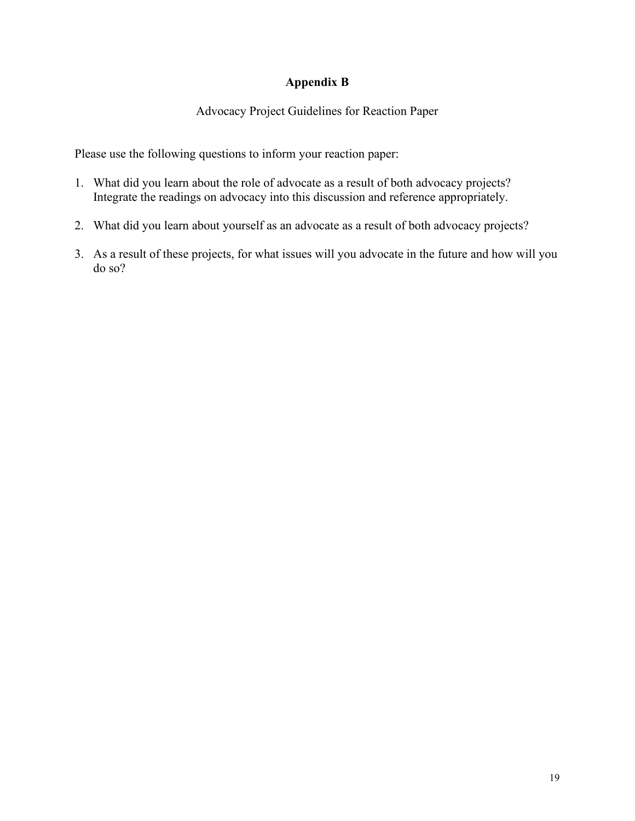## **Appendix B**

## Advocacy Project Guidelines for Reaction Paper

Please use the following questions to inform your reaction paper:

- 1. What did you learn about the role of advocate as a result of both advocacy projects? Integrate the readings on advocacy into this discussion and reference appropriately.
- 2. What did you learn about yourself as an advocate as a result of both advocacy projects?
- 3. As a result of these projects, for what issues will you advocate in the future and how will you do so?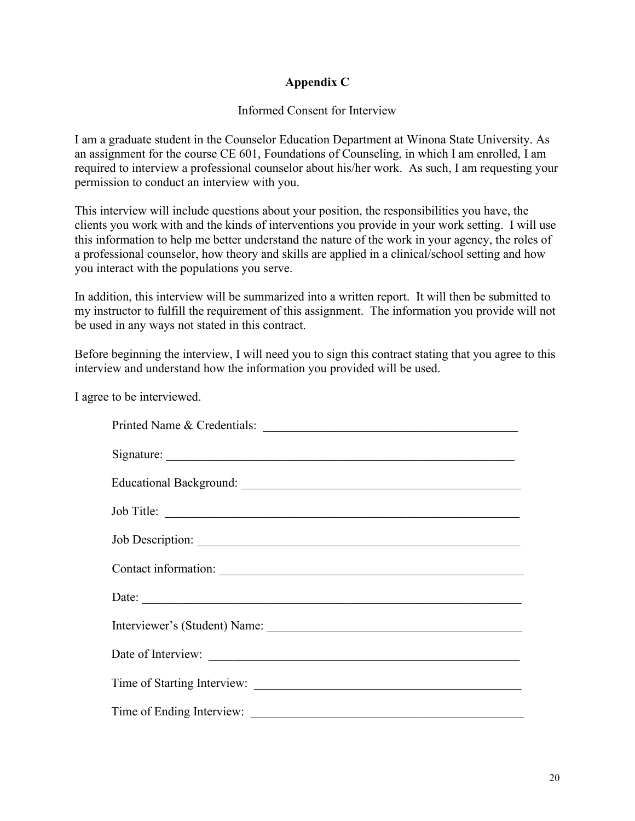## **Appendix C**

#### Informed Consent for Interview

I am a graduate student in the Counselor Education Department at Winona State University. As an assignment for the course CE 601, Foundations of Counseling, in which I am enrolled, I am required to interview a professional counselor about his/her work. As such, I am requesting your permission to conduct an interview with you.

This interview will include questions about your position, the responsibilities you have, the clients you work with and the kinds of interventions you provide in your work setting. I will use this information to help me better understand the nature of the work in your agency, the roles of a professional counselor, how theory and skills are applied in a clinical/school setting and how you interact with the populations you serve.

In addition, this interview will be summarized into a written report. It will then be submitted to my instructor to fulfill the requirement of this assignment. The information you provide will not be used in any ways not stated in this contract.

Before beginning the interview, I will need you to sign this contract stating that you agree to this interview and understand how the information you provided will be used.

I agree to be interviewed.

| Printed Name & Credentials: |  |  |
|-----------------------------|--|--|
|                             |  |  |
|                             |  |  |
| Job Title:                  |  |  |
| Job Description:            |  |  |
| Contact information:        |  |  |
|                             |  |  |
|                             |  |  |
| Date of Interview:          |  |  |
|                             |  |  |
|                             |  |  |